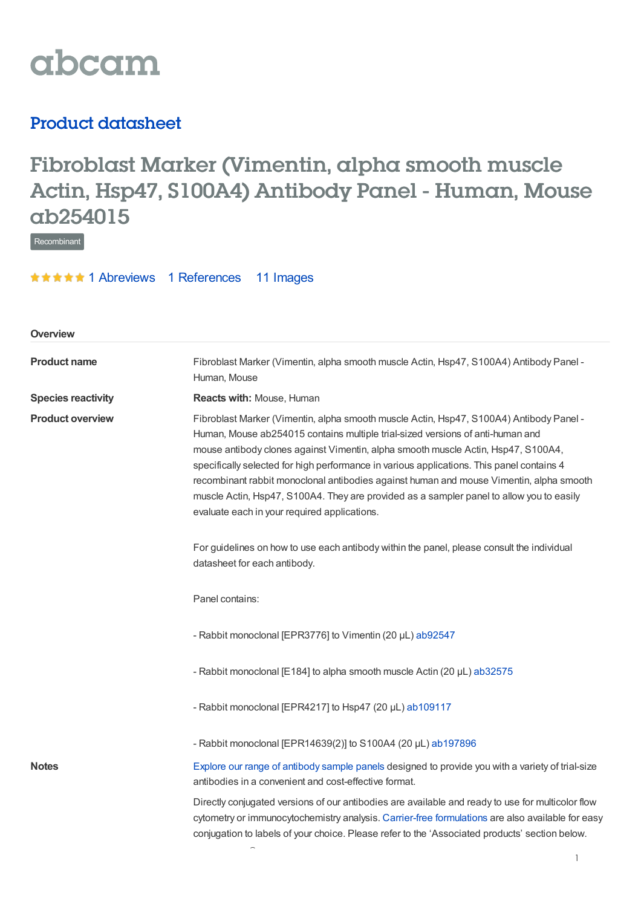

## Product datasheet

# Fibroblast Marker (Vimentin, alpha smooth muscle Actin, Hsp47, S100A4) Antibody Panel - Human, Mouse ab254015

Recombinant

**★★★★★1 [Abreviews](https://www.abcam.com/fibroblast-marker-vimentin-alpha-smooth-muscle-actin-hsp47-s100a4-antibody-panel-human-mouse-ab254015.html?productWallTab=Abreviews) 1 [References](https://www.abcam.com/fibroblast-marker-vimentin-alpha-smooth-muscle-actin-hsp47-s100a4-antibody-panel-human-mouse-ab254015.html#description_references) 11 Images** 

| Overview                  |                                                                                                                                                                                                                                                                                                                                                                                                                                                                                                                                                                                                    |  |  |
|---------------------------|----------------------------------------------------------------------------------------------------------------------------------------------------------------------------------------------------------------------------------------------------------------------------------------------------------------------------------------------------------------------------------------------------------------------------------------------------------------------------------------------------------------------------------------------------------------------------------------------------|--|--|
| <b>Product name</b>       | Fibroblast Marker (Vimentin, alpha smooth muscle Actin, Hsp47, S100A4) Antibody Panel -<br>Human, Mouse                                                                                                                                                                                                                                                                                                                                                                                                                                                                                            |  |  |
| <b>Species reactivity</b> | Reacts with: Mouse, Human                                                                                                                                                                                                                                                                                                                                                                                                                                                                                                                                                                          |  |  |
| <b>Product overview</b>   | Fibroblast Marker (Vimentin, alpha smooth muscle Actin, Hsp47, S100A4) Antibody Panel -<br>Human, Mouse ab254015 contains multiple trial-sized versions of anti-human and<br>mouse antibody clones against Vimentin, alpha smooth muscle Actin, Hsp47, S100A4,<br>specifically selected for high performance in various applications. This panel contains 4<br>recombinant rabbit monoclonal antibodies against human and mouse Vimentin, alpha smooth<br>muscle Actin, Hsp47, S100A4. They are provided as a sampler panel to allow you to easily<br>evaluate each in your required applications. |  |  |
|                           | For guidelines on how to use each antibody within the panel, please consult the individual<br>datasheet for each antibody.                                                                                                                                                                                                                                                                                                                                                                                                                                                                         |  |  |
|                           | Panel contains:                                                                                                                                                                                                                                                                                                                                                                                                                                                                                                                                                                                    |  |  |
|                           | - Rabbit monoclonal [EPR3776] to Vimentin (20 µL) ab92547                                                                                                                                                                                                                                                                                                                                                                                                                                                                                                                                          |  |  |
|                           | - Rabbit monoclonal [E184] to alpha smooth muscle Actin (20 µL) ab32575                                                                                                                                                                                                                                                                                                                                                                                                                                                                                                                            |  |  |
|                           | - Rabbit monoclonal [EPR4217] to Hsp47 (20 µL) ab109117                                                                                                                                                                                                                                                                                                                                                                                                                                                                                                                                            |  |  |
|                           | - Rabbit monoclonal [EPR14639(2)] to S100A4 (20 µL) ab197896                                                                                                                                                                                                                                                                                                                                                                                                                                                                                                                                       |  |  |
| <b>Notes</b>              | Explore our range of antibody sample panels designed to provide you with a variety of trial-size<br>antibodies in a convenient and cost-effective format.                                                                                                                                                                                                                                                                                                                                                                                                                                          |  |  |
|                           | Directly conjugated versions of our antibodies are available and ready to use for multicolor flow<br>cytometry or immunocytochemistry analysis. Carrier-free formulations are also available for easy<br>conjugation to labels of your choice. Please refer to the 'Associated products' section below.                                                                                                                                                                                                                                                                                            |  |  |

®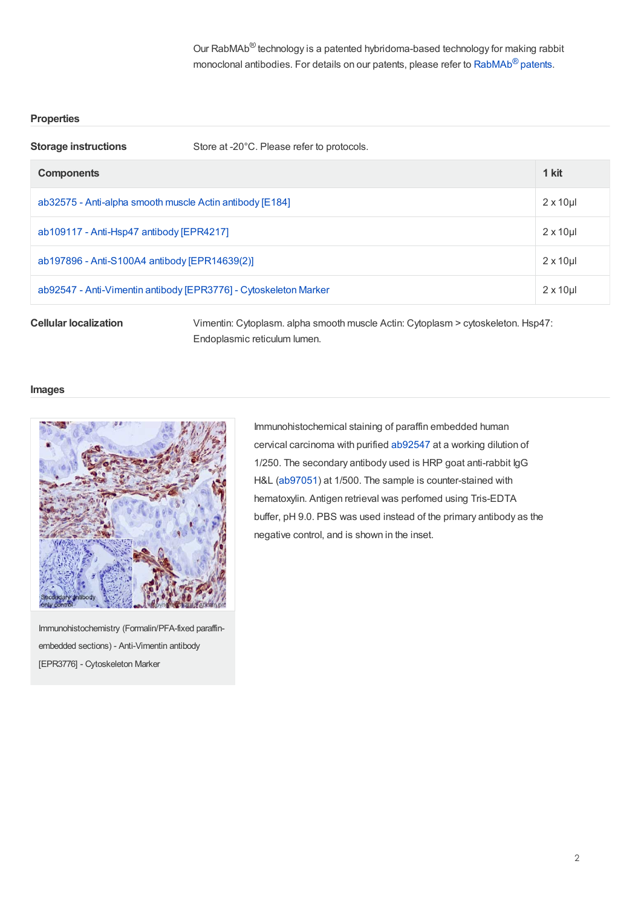Our RabMAb<sup>®</sup> technology is a patented hybridoma-based technology for making rabbit monoclonal antibodies. For details on our patents, please refer to  $\mathsf{RabMAb}^{\circledR}$  $\mathsf{RabMAb}^{\circledR}$  $\mathsf{RabMAb}^{\circledR}$  patents.

#### **Properties**

| <b>Storage instructions</b>                                      | Store at -20°C. Please refer to protocols. |                  |
|------------------------------------------------------------------|--------------------------------------------|------------------|
| <b>Components</b>                                                |                                            | 1 kit            |
| ab32575 - Anti-alpha smooth muscle Actin antibody [E184]         |                                            | $2 \times 10$ ul |
| ab109117 - Anti-Hsp47 antibody [EPR4217]                         |                                            | $2 \times 10$ ul |
| ab197896 - Anti-S100A4 antibody [EPR14639(2)]                    |                                            | $2 \times 10$ ul |
| ab92547 - Anti-Vimentin antibody [EPR3776] - Cytoskeleton Marker |                                            | $2 \times 10$ ul |

**Cellular localization** Vimentin: Cytoplasm. alpha smooth muscle Actin: Cytoplasm > cytoskeleton. Hsp47: Endoplasmic reticulum lumen.

#### **Images**



Immunohistochemistry (Formalin/PFA-fixed paraffinembedded sections) - Anti-Vimentin antibody [EPR3776] - Cytoskeleton Marker

Immunohistochemical staining of paraffin embedded human cervical carcinoma with purified [ab92547](https://www.abcam.com/ab92547.html) at a working dilution of 1/250. The secondary antibody used is HRP goat anti-rabbit IgG H&L [\(ab97051](https://www.abcam.com/ab97051.html)) at 1/500. The sample is counter-stained with hematoxylin. Antigen retrieval was perfomed using Tris-EDTA buffer, pH 9.0. PBS was used instead of the primary antibody as the negative control, and is shown in the inset.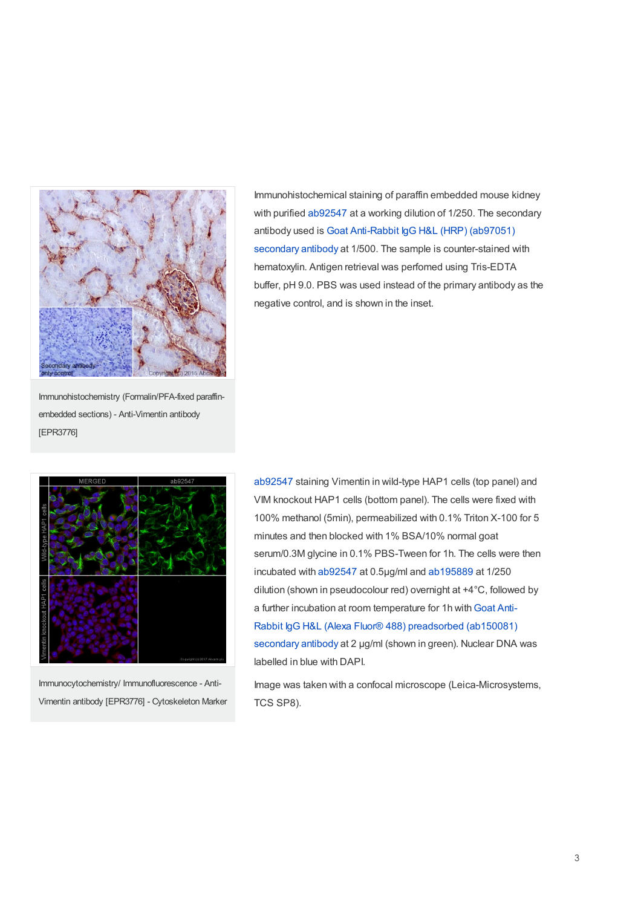

Immunohistochemical staining of paraffin embedded mouse kidney with purified [ab92547](https://www.abcam.com/ab92547.html) at a working dilution of 1/250. The secondary antibody used is Goat Anti-Rabbit IgG H&L (HRP) (ab97051) secondary antibody at 1/500. The sample is [counter-stained](https://www.abcam.com/goat-rabbit-igg-hl-hrp-ab97051.html) with hematoxylin. Antigen retrieval was perfomed using Tris-EDTA buffer, pH 9.0. PBS was used instead of the primary antibody as the negative control, and is shown in the inset.

Immunohistochemistry (Formalin/PFA-fixed paraffinembedded sections) - Anti-Vimentin antibody [EPR3776]



Immunocytochemistry/ Immunofluorescence - Anti-Vimentin antibody [EPR3776] - Cytoskeleton Marker

[ab92547](https://www.abcam.com/ab92547.html) staining Vimentin in wild-type HAP1 cells (top panel) and VIM knockout HAP1 cells (bottom panel). The cells were fixed with 100% methanol (5min), permeabilized with 0.1% Triton X-100 for 5 minutes and then blocked with 1% BSA/10% normal goat serum/0.3M glycine in 0.1% PBS-Tween for 1h. The cells were then incubated with [ab92547](https://www.abcam.com/ab92547.html) at 0.5μg/ml and [ab195889](https://www.abcam.com/ab195889.html) at 1/250 dilution (shown in pseudocolour red) overnight at +4°C, followed by a further incubation at room temperature for 1h with Goat Anti-Rabbit IgG H&L (Alexa Fluor® 488) [preadsorbed](https://www.abcam.com/goat-rabbit-igg-hl-alexa-fluor-488-preadsorbed-ab150081.html) (ab150081) secondary antibody at 2 μg/ml (shown in green). Nuclear DNA was labelled in blue with DAPI.

Image was taken with a confocal microscope (Leica-Microsystems, TCS SP8).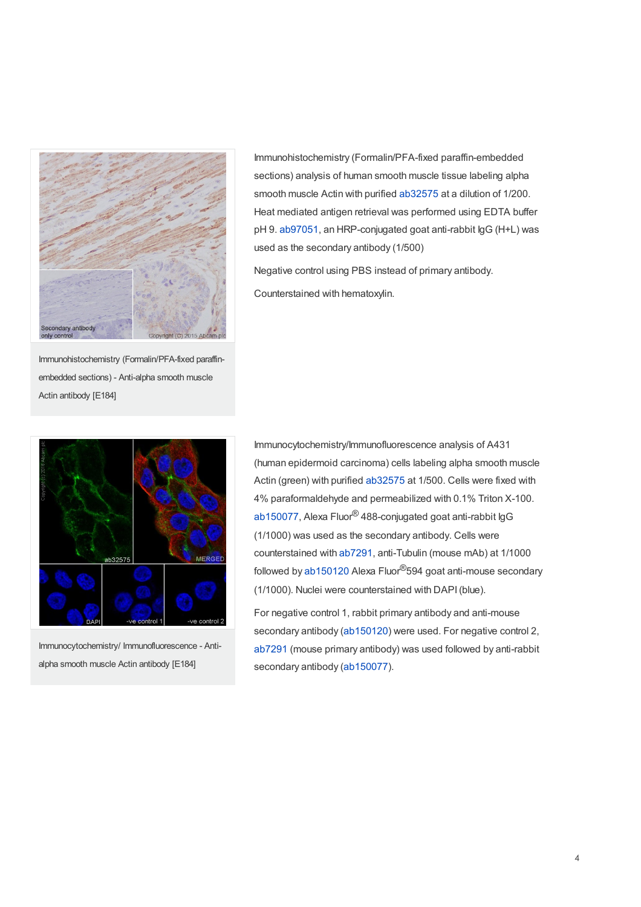

Immunohistochemistry (Formalin/PFA-fixed paraffinembedded sections) - Anti-alpha smooth muscle Actin antibody [E184]



Immunocytochemistry/ Immunofluorescence - Antialpha smooth muscle Actin antibody [E184]

Immunohistochemistry (Formalin/PFA-fixed paraffin-embedded sections) analysis of human smooth muscle tissue labeling alpha smooth muscle Actin with purified [ab32575](https://www.abcam.com/ab32575.html) at a dilution of 1/200. Heat mediated antigen retrieval was performed using EDTA buffer pH 9. [ab97051](https://www.abcam.com/ab97051.html), an HRP-conjugated goat anti-rabbit IgG (H+L) was used as the secondary antibody (1/500)

Negative control using PBS instead of primary antibody. Counterstained with hematoxylin.

Immunocytochemistry/Immunofluorescence analysis of A431 (human epidermoid carcinoma) cells labeling alpha smooth muscle Actin (green) with purified [ab32575](https://www.abcam.com/ab32575.html) at 1/500. Cells were fixed with 4% paraformaldehyde and permeabilized with 0.1% Triton X-100. [ab150077](https://www.abcam.com/ab150077.html), Alexa Fluor $^\circledR$ 488-conjugated goat anti-rabbit IgG (1/1000) was used as the secondary antibody. Cells were counterstained with [ab7291](https://www.abcam.com/ab7291.html), anti-Tubulin (mouse mAb) at 1/1000 followed by [ab150120](https://www.abcam.com/ab150120.html) Alexa Fluor<sup>®</sup>594 goat anti-mouse secondary (1/1000). Nuclei were counterstained with DAPI(blue).

For negative control 1, rabbit primary antibody and anti-mouse secondary antibody [\(ab150120](https://www.abcam.com/ab150120.html)) were used. For negative control 2, [ab7291](https://www.abcam.com/ab7291.html) (mouse primary antibody) was used followed by anti-rabbit secondary antibody [\(ab150077](https://www.abcam.com/ab150077.html)).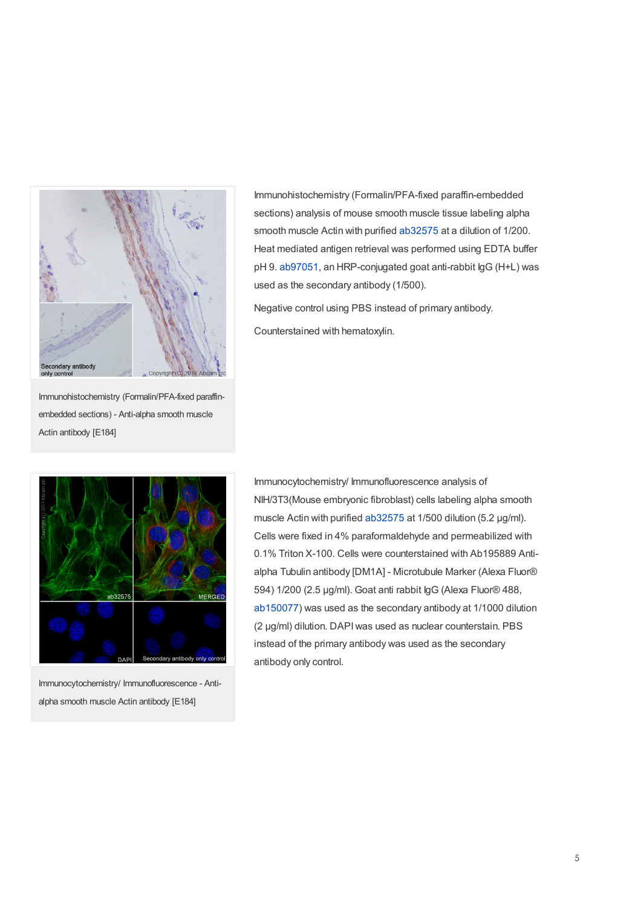

Immunohistochemistry (Formalin/PFA-fixed paraffin-embedded sections) analysis of mouse smooth muscle tissue labeling alpha smooth muscle Actin with purified [ab32575](https://www.abcam.com/ab32575.html) at a dilution of 1/200. Heat mediated antigen retrieval was performed using EDTA buffer pH 9. [ab97051](https://www.abcam.com/ab97051.html), an HRP-conjugated goat anti-rabbit IgG (H+L) was used as the secondary antibody (1/500).

Negative control using PBS instead of primary antibody. Counterstained with hematoxylin.

Immunohistochemistry (Formalin/PFA-fixed paraffinembedded sections) - Anti-alpha smooth muscle Actin antibody [E184]



Immunocytochemistry/ Immunofluorescence - Antialpha smooth muscle Actin antibody [E184]

Immunocytochemistry/ Immunofluorescence analysis of NIH/3T3(Mouse embryonic fibroblast) cells labeling alpha smooth muscle Actin with purified [ab32575](https://www.abcam.com/ab32575.html) at 1/500 dilution (5.2 µg/ml). Cells were fixed in 4% paraformaldehyde and permeabilized with 0.1% Triton X-100. Cells were counterstained with Ab195889 Antialpha Tubulin antibody [DM1A] - Microtubule Marker (Alexa Fluor® 594) 1/200 (2.5 µg/ml). Goat anti rabbit IgG (Alexa Fluor® 488, [ab150077](https://www.abcam.com/ab150077.html)) was used as the secondary antibody at 1/1000 dilution (2 µg/ml) dilution. DAPIwas used as nuclear counterstain. PBS instead of the primary antibody was used as the secondary antibody only control.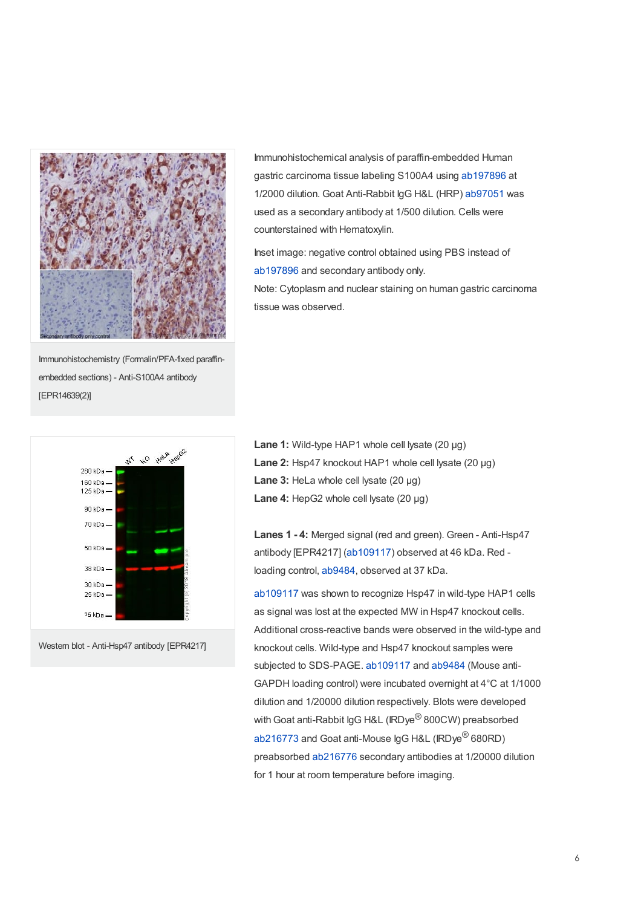

Immunohistochemistry (Formalin/PFA-fixed paraffinembedded sections) - Anti-S100A4 antibody [EPR14639(2)]



Western blot - Anti-Hsp47 antibody [EPR4217]

Immunohistochemical analysis of paraffin-embedded Human gastric carcinoma tissue labeling S100A4 using [ab197896](https://www.abcam.com/ab197896.html) at 1/2000 dilution. Goat Anti-Rabbit IgG H&L (HRP) [ab97051](https://www.abcam.com/ab97051.html) was used as a secondary antibody at 1/500 dilution. Cells were counterstained with Hematoxylin.

Inset image: negative control obtained using PBS instead of [ab197896](https://www.abcam.com/ab197896.html) and secondary antibody only.

Note: Cytoplasm and nuclear staining on human gastric carcinoma tissue was observed.

**Lane 1:** Wild-type HAP1 whole cell lysate (20 µg) **Lane 2:** Hsp47 knockout HAP1 whole cell lysate (20 µg) **Lane 3:** HeLa whole cell lysate (20 µg) **Lane 4:** HepG2 whole cell lysate (20 µg)

**Lanes 1 - 4:** Merged signal (red and green). Green - Anti-Hsp47 antibody [EPR4217] [\(ab109117](https://www.abcam.com/ab109117.html)) observed at 46 kDa. Red loading control, [ab9484](https://www.abcam.com/ab9484.html), observed at 37 kDa.

[ab109117](https://www.abcam.com/ab109117.html) was shown to recognize Hsp47 in wild-type HAP1 cells as signal was lost at the expected MW in Hsp47 knockout cells. Additional cross-reactive bands were observed in the wild-type and knockout cells. Wild-type and Hsp47 knockout samples were subjected to SDS-PAGE. [ab109117](https://www.abcam.com/ab109117.html) and [ab9484](https://www.abcam.com/ab9484.html) (Mouse anti-GAPDH loading control) were incubated overnight at 4°C at 1/1000 dilution and 1/20000 dilution respectively. Blots were developed with Goat anti-Rabbit IgG H&L (IRDye $^\circledR$ 800CW) preabsorbed [ab216773](https://www.abcam.com/ab216773.html) and Goat anti-Mouse IgG H&L (IRDye $^\circledR$ 680RD) preabsorbed [ab216776](https://www.abcam.com/ab216776.html) secondary antibodies at 1/20000 dilution for 1 hour at room temperature before imaging.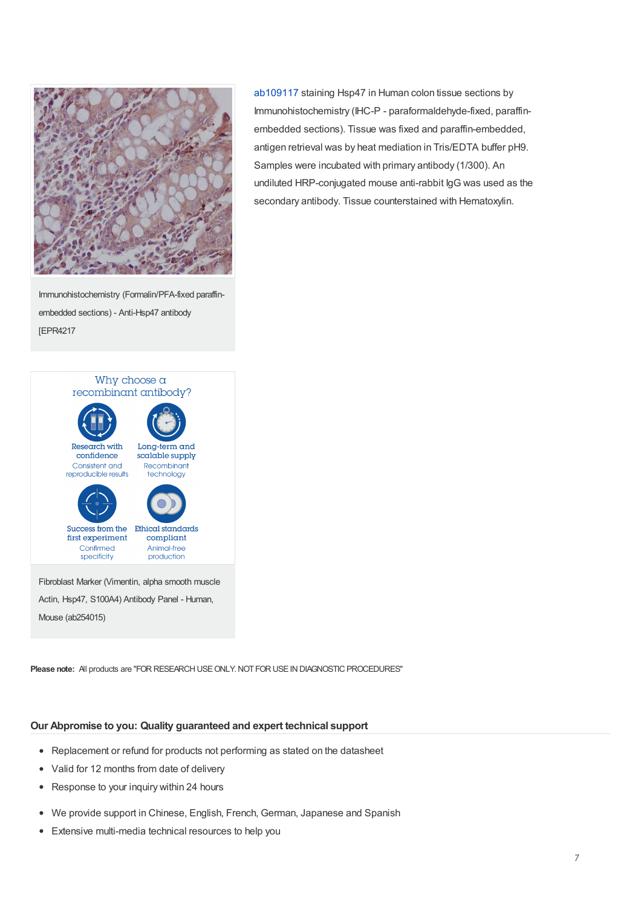

Immunohistochemistry (Formalin/PFA-fixed paraffinembedded sections) - Anti-Hsp47 antibody [EPR4217



Actin, Hsp47, S100A4) Antibody Panel - Human, Mouse (ab254015)

**Please note:** All products are "FOR RESEARCH USE ONLY. NOT FOR USE IN DIAGNOSTIC PROCEDURES"

#### **Our Abpromise to you: Quality guaranteed and expert technical support**

- Replacement or refund for products not performing as stated on the datasheet
- Valid for 12 months from date of delivery
- Response to your inquiry within 24 hours
- We provide support in Chinese, English, French, German, Japanese and Spanish
- Extensive multi-media technical resources to help you

[ab109117](https://www.abcam.com/ab109117.html) staining Hsp47 in Human colon tissue sections by Immunohistochemistry (IHC-P - paraformaldehyde-fixed, paraffinembedded sections). Tissue was fixed and paraffin-embedded, antigen retrieval was by heat mediation in Tris/EDTA buffer pH9. Samples were incubated with primary antibody (1/300). An undiluted HRP-conjugated mouse anti-rabbit IgG was used as the secondary antibody. Tissue counterstained with Hematoxylin.